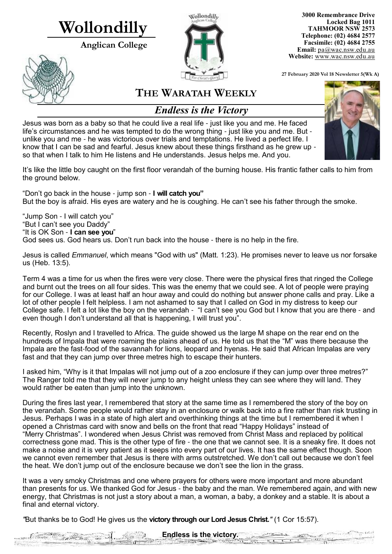# **Wollondilly**

**Anglican College** 





**3000 Remembrance Drive Locked Bag 1011 TAHMOOR NSW 2573 Telephone: (02) 4684 2577 Facsimile: (02) 4684 2755 Email:** [pa@wac.nsw.edu.au](mailto:pa@wac.nsw.edu.au) **Website:** www.wac.nsw.edu.au

**27 February 2020 Vol 18 Newsletter 5(Wk A)** 

# **THE WARATAH WEEKLY**

# *Endless is the Victory*

Jesus was born as a baby so that he could live a real life - just like you and me. He faced life's circumstances and he was tempted to do the wrong thing - just like you and me. But unlike you and me - he was victorious over trials and temptations. He lived a perfect life. I know that I can be sad and fearful. Jesus knew about these things firsthand as he grew up so that when I talk to him He listens and He understands. Jesus helps me. And you.

It's like the little boy caught on the first floor verandah of the burning house. His frantic father calls to him from the ground below.

"Don't go back in the house - jump son - **I will catch you"** But the boy is afraid. His eyes are watery and he is coughing. He can't see his father through the smoke.

"Jump Son - I will catch you" "But I can't see you Daddy" "It is OK Son - **I can see you**" God sees us. God hears us. Don't run back into the house - there is no help in the fire.

and the company of the company

Jesus is called *Emmanuel*, which means "God with us" (Matt. 1:23). He promises never to leave us nor forsake us (Heb. 13:5).

Term 4 was a time for us when the fires were very close. There were the physical fires that ringed the College and burnt out the trees on all four sides. This was the enemy that we could see. A lot of people were praying for our College. I was at least half an hour away and could do nothing but answer phone calls and pray. Like a lot of other people I felt helpless. I am not ashamed to say that I called on God in my distress to keep our College safe. I felt a lot like the boy on the verandah - "I can't see you God but I know that you are there - and even though I don't understand all that is happening, I will trust you".

Recently, Roslyn and I travelled to Africa. The guide showed us the large M shape on the rear end on the hundreds of Impala that were roaming the plains ahead of us. He told us that the "M" was there because the Impala are the fast-food of the savannah for lions, leopard and hyenas. He said that African Impalas are very fast and that they can jump over three metres high to escape their hunters.

I asked him, "Why is it that Impalas will not jump out of a zoo enclosure if they can jump over three metres?" The Ranger told me that they will never jump to any height unless they can see where they will land. They would rather be eaten than jump into the unknown.

During the fires last year, I remembered that story at the same time as I remembered the story of the boy on the verandah. Some people would rather stay in an enclosure or walk back into a fire rather than risk trusting in Jesus. Perhaps I was in a state of high alert and overthinking things at the time but I remembered it when I opened a Christmas card with snow and bells on the front that read "Happy Holidays" instead of "Merry Christmas". I wondered when Jesus Christ was removed from Christ Mass and replaced by political correctness gone mad. This is the other type of fire - the one that we cannot see. It is a sneaky fire. It does not make a noise and it is very patient as it seeps into every part of our lives. It has the same effect though. Soon we cannot even remember that Jesus is there with arms outstretched. We don't call out because we don't feel the heat. We don't jump out of the enclosure because we don't see the lion in the grass.

It was a very smoky Christmas and one where prayers for others were more important and more abundant than presents for us. We thanked God for Jesus - the baby and the man. We remembered again, and with new energy, that Christmas is not just a story about a man, a woman, a baby, a donkey and a stable. It is about a final and eternal victory.

*"*But thanks be to God! He gives us the **victory through our Lord Jesus Christ.***"* (1 Cor 15:57).



**Endless is the victory.**

 $z \rightarrow z$ 

 $-0.1$ 

 $\frac{1}{\sqrt{1-\frac{1}{2}}}\frac{1}{\sqrt{1-\frac{1}{2}}}\frac{1}{\sqrt{1-\frac{1}{2}}}\frac{1}{\sqrt{1-\frac{1}{2}}}\frac{1}{\sqrt{1-\frac{1}{2}}}\frac{1}{\sqrt{1-\frac{1}{2}}}\frac{1}{\sqrt{1-\frac{1}{2}}}\frac{1}{\sqrt{1-\frac{1}{2}}}\frac{1}{\sqrt{1-\frac{1}{2}}}\frac{1}{\sqrt{1-\frac{1}{2}}}\frac{1}{\sqrt{1-\frac{1}{2}}}\frac{1}{\sqrt{1-\frac{1}{2}}}\frac{1}{\sqrt{1-\frac{1}{2}}}\frac{1}{\sqrt{1-\frac{$ 

المستبردين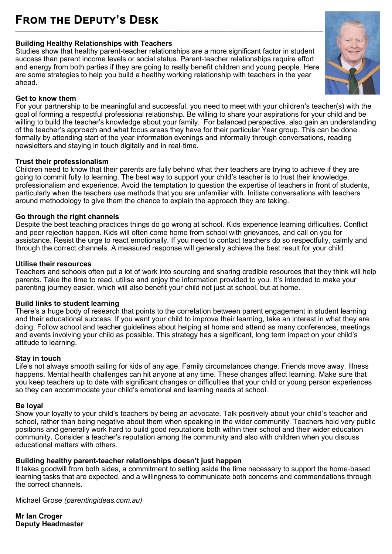# **From the Deputy's Desk \_\_\_\_\_\_\_\_\_\_\_\_\_\_\_\_\_\_\_\_\_\_\_\_\_\_\_\_\_\_\_\_\_\_\_\_\_\_\_\_\_\_\_\_\_\_\_\_\_\_\_\_\_\_\_\_\_\_\_\_\_\_\_\_\_\_\_\_\_\_\_\_\_\_\_\_\_\_\_\_\_\_\_\_\_\_\_\_\_\_\_\_\_\_\_\_\_\_\_\_\_\_\_\_\_**

#### **Building Healthy Relationships with Teachers**

Studies show that healthy parent-teacher relationships are a more significant factor in student success than parent income levels or social status. Parent-teacher relationships require effort and energy from both parties if they are going to really benefit children and young people. Here are some strategies to help you build a healthy working relationship with teachers in the year ahead.

#### **Get to know them**

For your partnership to be meaningful and successful, you need to meet with your children's teacher(s) with the goal of forming a respectful professional relationship. Be willing to share your aspirations for your child and be willing to build the teacher's knowledge about your family. For balanced perspective, also gain an understanding of the teacher's approach and what focus areas they have for their particular Year group. This can be done formally by attending start of the year information evenings and informally through conversations, reading newsletters and staying in touch digitally and in real-time.

#### **Trust their professionalism**

Children need to know that their parents are fully behind what their teachers are trying to achieve if they are going to commit fully to learning. The best way to support your child's teacher is to trust their knowledge, professionalism and experience. Avoid the temptation to question the expertise of teachers in front of students, particularly when the teachers use methods that you are unfamiliar with. Initiate conversations with teachers around methodology to give them the chance to explain the approach they are taking.

#### **Go through the right channels**

Despite the best teaching practices things do go wrong at school. Kids experience learning difficulties. Conflict and peer rejection happen. Kids will often come home from school with grievances, and call on you for assistance. Resist the urge to react emotionally. If you need to contact teachers do so respectfully, calmly and through the correct channels. A measured response will generally achieve the best result for your child.

#### **Utilise their resources**

Teachers and schools often put a lot of work into sourcing and sharing credible resources that they think will help parents. Take the time to read, utilise and enjoy the information provided to you. It's intended to make your parenting journey easier, which will also benefit your child not just at school, but at home.

#### **Build links to student learning**

There's a huge body of research that points to the correlation between parent engagement in student learning and their educational success. If you want your child to improve their learning, take an interest in what they are doing. Follow school and teacher guidelines about helping at home and attend as many conferences, meetings and events involving your child as possible. This strategy has a significant, long term impact on your child's attitude to learning.

#### **Stay in touch**

Life's not always smooth sailing for kids of any age. Family circumstances change. Friends move away. Illness happens. Mental health challenges can hit anyone at any time. These changes affect learning. Make sure that you keep teachers up to date with significant changes or difficulties that your child or young person experiences so they can accommodate your child's emotional and learning needs at school.

#### **Be loyal**

Show your loyalty to your child's teachers by being an advocate. Talk positively about your child's teacher and school, rather than being negative about them when speaking in the wider community. Teachers hold very public positions and generally work hard to build good reputations both within their school and their wider education community. Consider a teacher's reputation among the community and also with children when you discuss educational matters with others.

#### **Building healthy parent-teacher relationships doesn't just happen**

It takes goodwill from both sides, a commitment to setting aside the time necessary to support the home-based learning tasks that are expected, and a willingness to communicate both concerns and commendations through the correct channels.

Michael Grose *(parentingideas.com.au)*

**Mr Ian Croger Deputy Headmaster** 

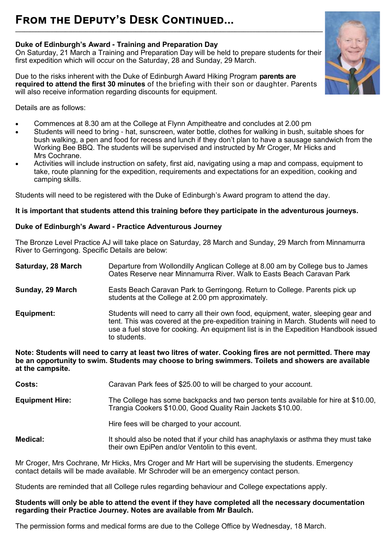# **From the Deputy's Desk Continued...**

#### **Duke of Edinburgh's Award - Training and Preparation Day**

On Saturday, 21 March a Training and Preparation Day will be held to prepare students for their first expedition which will occur on the Saturday, 28 and Sunday, 29 March.

**\_\_\_\_\_\_\_\_\_\_\_\_\_\_\_\_\_\_\_\_\_\_\_\_\_\_\_\_\_\_\_\_\_\_\_\_\_\_\_\_\_\_\_\_\_\_\_\_\_\_\_\_\_\_\_\_\_\_\_\_\_\_\_\_\_\_\_\_\_\_\_\_\_\_\_\_\_\_\_\_\_\_\_\_\_\_\_\_\_\_\_\_\_\_\_\_\_\_\_\_\_\_\_\_\_**

Due to the risks inherent with the Duke of Edinburgh Award Hiking Program **parents are required to attend the first 30 minutes** of the briefing with their son or daughter. Parents will also receive information regarding discounts for equipment.



Details are as follows:

- Commences at 8.30 am at the College at Flynn Ampitheatre and concludes at 2.00 pm
- Students will need to bring hat, sunscreen, water bottle, clothes for walking in bush, suitable shoes for bush walking, a pen and food for recess and lunch if they don't plan to have a sausage sandwich from the Working Bee BBQ. The students will be supervised and instructed by Mr Croger, Mr Hicks and Mrs Cochrane.
- Activities will include instruction on safety, first aid, navigating using a map and compass, equipment to take, route planning for the expedition, requirements and expectations for an expedition, cooking and camping skills.

Students will need to be registered with the Duke of Edinburgh's Award program to attend the day.

#### **It is important that students attend this training before they participate in the adventurous journeys.**

#### **Duke of Edinburgh's Award - Practice Adventurous Journey**

The Bronze Level Practice AJ will take place on Saturday, 28 March and Sunday, 29 March from Minnamurra River to Gerringong. Specific Details are below:

**Saturday, 28 March** Departure from Wollondilly Anglican College at 8.00 am by College bus to James Oates Reserve near Minnamurra River. Walk to Easts Beach Caravan Park **Sunday, 29 March** Easts Beach Caravan Park to Gerringong. Return to College. Parents pick up students at the College at 2.00 pm approximately. **Equipment:** Students will need to carry all their own food, equipment, water, sleeping gear and tent. This was covered at the pre-expedition training in March. Students will need to use a fuel stove for cooking. An equipment list is in the Expedition Handbook issued to students.

**Note: Students will need to carry at least two litres of water. Cooking fires are not permitted. There may be an opportunity to swim. Students may choose to bring swimmers. Toilets and showers are available at the campsite.**

**Costs:** Caravan Park fees of \$25.00 to will be charged to your account.

**Equipment Hire:** The College has some backpacks and two person tents available for hire at \$10.00, Trangia Cookers \$10.00, Good Quality Rain Jackets \$10.00.

Hire fees will be charged to your account.

**Medical:** It should also be noted that if your child has anaphylaxis or asthma they must take their own EpiPen and/or Ventolin to this event.

Mr Croger, Mrs Cochrane, Mr Hicks, Mrs Croger and Mr Hart will be supervising the students. Emergency contact details will be made available. Mr Schroder will be an emergency contact person.

Students are reminded that all College rules regarding behaviour and College expectations apply.

#### **Students will only be able to attend the event if they have completed all the necessary documentation regarding their Practice Journey. Notes are available from Mr Baulch.**

The permission forms and medical forms are due to the College Office by Wednesday, 18 March.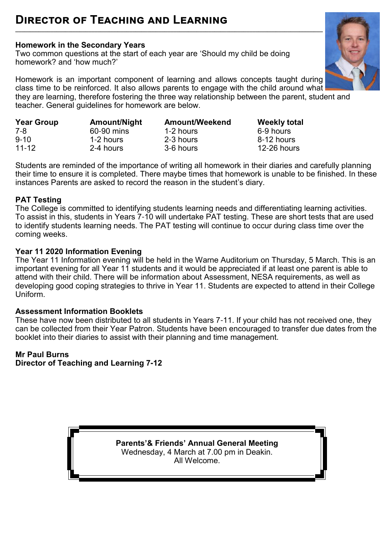# **Homework in the Secondary Years**

Two common questions at the start of each year are 'Should my child be doing homework? and 'how much?'



Homework is an important component of learning and allows concepts taught during class time to be reinforced. It also allows parents to engage with the child around what

**\_\_\_\_\_\_\_\_\_\_\_\_\_\_\_\_\_\_\_\_\_\_\_\_\_\_\_\_\_\_\_\_\_\_\_\_\_\_\_\_\_\_\_\_\_\_\_\_\_\_\_\_\_\_\_\_\_\_\_\_\_\_\_\_\_\_\_\_\_\_\_\_\_\_\_\_\_\_\_\_\_\_\_\_\_\_\_\_\_\_\_\_\_\_\_\_\_\_\_\_\_\_\_\_\_**

they are learning, therefore fostering the three way relationship between the parent, student and teacher. General guidelines for homework are below.

| <b>Year Group</b> | <b>Amount/Night</b> | <b>Amount/Weekend</b> | <b>Weekly total</b> |
|-------------------|---------------------|-----------------------|---------------------|
| 7-8               | 60-90 mins          | 1-2 hours             | 6-9 hours           |
| $9 - 10$          | 1-2 hours           | 2-3 hours             | 8-12 hours          |
| $11 - 12$         | 2-4 hours           | 3-6 hours             | $12-26$ hours       |

Students are reminded of the importance of writing all homework in their diaries and carefully planning their time to ensure it is completed. There maybe times that homework is unable to be finished. In these instances Parents are asked to record the reason in the student's diary.

### **PAT Testing**

The College is committed to identifying students learning needs and differentiating learning activities. To assist in this, students in Years 7-10 will undertake PAT testing. These are short tests that are used to identify students learning needs. The PAT testing will continue to occur during class time over the coming weeks.

#### **Year 11 2020 Information Evening**

The Year 11 Information evening will be held in the Warne Auditorium on Thursday, 5 March. This is an important evening for all Year 11 students and it would be appreciated if at least one parent is able to attend with their child. There will be information about Assessment, NESA requirements, as well as developing good coping strategies to thrive in Year 11. Students are expected to attend in their College Uniform.

#### **Assessment Information Booklets**

These have now been distributed to all students in Years 7-11. If your child has not received one, they can be collected from their Year Patron. Students have been encouraged to transfer due dates from the booklet into their diaries to assist with their planning and time management.

### **Mr Paul Burns**

**Director of Teaching and Learning 7-12**

**Parents'& Friends' Annual General Meeting**  Wednesday, 4 March at 7.00 pm in Deakin. All Welcome.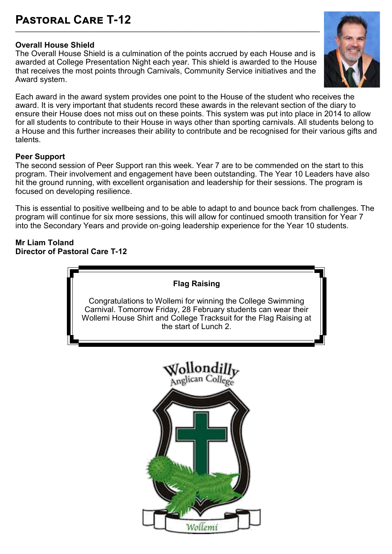### **Pastoral Care T-12 \_\_\_\_\_\_\_\_\_\_\_\_\_\_\_\_\_\_\_\_\_\_\_\_\_\_\_\_\_\_\_\_\_\_\_\_\_\_\_\_\_\_\_\_\_\_\_\_\_\_\_\_\_\_\_\_\_\_\_\_\_\_\_\_\_\_\_\_\_\_\_\_\_\_\_\_\_\_\_\_\_\_\_\_\_\_\_\_\_\_\_\_\_\_\_\_\_\_\_\_\_\_\_\_**

### **Overall House Shield**

The Overall House Shield is a culmination of the points accrued by each House and is awarded at College Presentation Night each year. This shield is awarded to the House that receives the most points through Carnivals, Community Service initiatives and the Award system.

Each award in the award system provides one point to the House of the student who receives the award. It is very important that students record these awards in the relevant section of the diary to ensure their House does not miss out on these points. This system was put into place in 2014 to allow for all students to contribute to their House in ways other than sporting carnivals. All students belong to a House and this further increases their ability to contribute and be recognised for their various gifts and talents.

#### **Peer Support**

The second session of Peer Support ran this week. Year 7 are to be commended on the start to this program. Their involvement and engagement have been outstanding. The Year 10 Leaders have also hit the ground running, with excellent organisation and leadership for their sessions. The program is focused on developing resilience.

This is essential to positive wellbeing and to be able to adapt to and bounce back from challenges. The program will continue for six more sessions, this will allow for continued smooth transition for Year 7 into the Secondary Years and provide on-going leadership experience for the Year 10 students.

#### **Mr Liam Toland Director of Pastoral Care T-12**



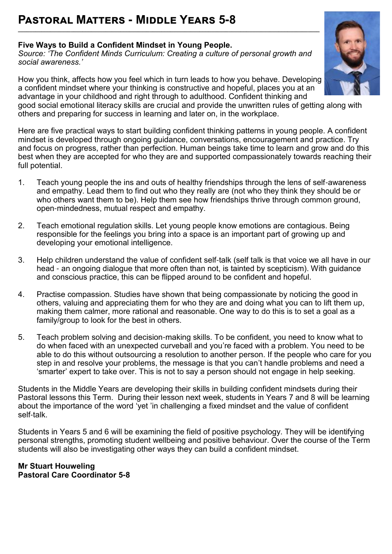# **Five Ways to Build a Confident Mindset in Young People.**

*Source: '[The Confident Minds Curriculum: Creating a culture of personal growth and](https://www.generationnext.com.au/wp-content/uploads/2020/02/Confident-Minds-Curriculum-Showcard-Alt_A4_v2.1.pdf)  [social awareness.](https://www.generationnext.com.au/wp-content/uploads/2020/02/Confident-Minds-Curriculum-Showcard-Alt_A4_v2.1.pdf)'* 

**\_\_\_\_\_\_\_\_\_\_\_\_\_\_\_\_\_\_\_\_\_\_\_\_\_\_\_\_\_\_\_\_\_\_\_\_\_\_\_\_\_\_\_\_\_\_\_\_\_\_\_\_\_\_\_\_\_\_\_\_\_\_\_\_\_\_\_\_\_\_\_\_\_\_\_\_\_\_\_\_\_\_\_\_\_\_\_\_\_\_\_\_\_\_\_\_\_\_\_\_\_\_\_**

How you think, affects how you feel which in turn leads to how you behave. Developing a confident mindset where your thinking is constructive and hopeful, places you at an advantage in your childhood and right through to adulthood. Confident thinking and

good social emotional literacy skills are crucial and provide the unwritten rules of getting along with others and preparing for success in learning and later on, in the workplace.

Here are five practical ways to start building confident thinking patterns in young people. A confident mindset is developed through ongoing guidance, conversations, encouragement and practice. Try and focus on progress, rather than perfection. Human beings take time to learn and grow and do this best when they are accepted for who they are and supported compassionately towards reaching their full potential.

- 1. Teach young people the ins and outs of healthy friendships through the lens of self-awareness and empathy. Lead them to find out who they really are (not who they think they should be or who others want them to be). Help them see how friendships thrive through common ground, open-mindedness, mutual respect and empathy.
- 2. Teach emotional regulation skills. Let young people know emotions are contagious. Being responsible for the feelings you bring into a space is an important part of growing up and developing your emotional intelligence.
- 3. Help children understand the value of confident self-talk (self talk is that voice we all have in our head - an ongoing dialogue that more often than not, is tainted by scepticism). With guidance and conscious practice, this can be flipped around to be confident and hopeful.
- 4. Practise compassion. Studies have shown that being compassionate by noticing the good in others, valuing and appreciating them for who they are and doing what you can to lift them up, making them calmer, more rational and reasonable. One way to do this is to set a goal as a family/group to look for the best in others.
- 5. Teach problem solving and decision-making skills. To be confident, you need to know what to do when faced with an unexpected curveball and you're faced with a problem. You need to be able to do this without outsourcing a resolution to another person. If the people who care for you step in and resolve your problems, the message is that you can't handle problems and need a 'smarter' expert to take over. This is not to say a person should not engage in help seeking.

Students in the Middle Years are developing their skills in building confident mindsets during their Pastoral lessons this Term. During their lesson next week, students in Years 7 and 8 will be learning about the importance of the word 'yet 'in challenging a fixed mindset and the value of confident self-talk.

Students in Years 5 and 6 will be examining the field of positive psychology. They will be identifying personal strengths, promoting student wellbeing and positive behaviour. Over the course of the Term students will also be investigating other ways they can build a confident mindset.

**Mr Stuart Houweling Pastoral Care Coordinator 5-8**

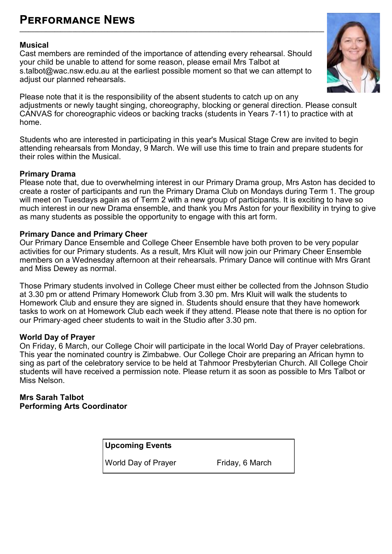# **Performance News**

#### **Musical**

Cast members are reminded of the importance of attending every rehearsal. Should your child be unable to attend for some reason, please email Mrs Talbot at [s.talbot@wac.nsw.edu.au](mailto:s.talbot@wac.nsw.edu.au) at the earliest possible moment so that we can attempt to adjust our planned rehearsals.

**\_\_\_\_\_\_\_\_\_\_\_\_\_\_\_\_\_\_\_\_\_\_\_\_\_\_\_\_\_\_\_\_\_\_\_\_\_\_\_\_\_\_\_\_\_\_\_\_\_\_\_\_\_\_\_\_\_\_\_\_\_\_\_\_\_\_\_\_\_\_\_\_\_\_\_\_\_\_\_\_\_\_\_\_\_\_\_\_\_\_\_\_\_\_\_\_\_\_\_\_\_\_\_\_**



Please note that it is the responsibility of the absent students to catch up on any adjustments or newly taught singing, choreography, blocking or general direction. Please consult CANVAS for choreographic videos or backing tracks (students in Years 7-11) to practice with at home.

Students who are interested in participating in this year's Musical Stage Crew are invited to begin attending rehearsals from Monday, 9 March. We will use this time to train and prepare students for their roles within the Musical.

#### **Primary Drama**

Please note that, due to overwhelming interest in our Primary Drama group, Mrs Aston has decided to create a roster of participants and run the Primary Drama Club on Mondays during Term 1. The group will meet on Tuesdays again as of Term 2 with a new group of participants. It is exciting to have so much interest in our new Drama ensemble, and thank you Mrs Aston for your flexibility in trying to give as many students as possible the opportunity to engage with this art form.

#### **Primary Dance and Primary Cheer**

Our Primary Dance Ensemble and College Cheer Ensemble have both proven to be very popular activities for our Primary students. As a result, Mrs Kluit will now join our Primary Cheer Ensemble members on a Wednesday afternoon at their rehearsals. Primary Dance will continue with Mrs Grant and Miss Dewey as normal.

Those Primary students involved in College Cheer must either be collected from the Johnson Studio at 3.30 pm or attend Primary Homework Club from 3.30 pm. Mrs Kluit will walk the students to Homework Club and ensure they are signed in. Students should ensure that they have homework tasks to work on at Homework Club each week if they attend. Please note that there is no option for our Primary-aged cheer students to wait in the Studio after 3.30 pm.

#### **World Day of Prayer**

On Friday, 6 March, our College Choir will participate in the local World Day of Prayer celebrations. This year the nominated country is Zimbabwe. Our College Choir are preparing an African hymn to sing as part of the celebratory service to be held at Tahmoor Presbyterian Church. All College Choir students will have received a permission note. Please return it as soon as possible to Mrs Talbot or Miss Nelson.

**Mrs Sarah Talbot Performing Arts Coordinator** 

**Upcoming Events**

World Day of Prayer Friday, 6 March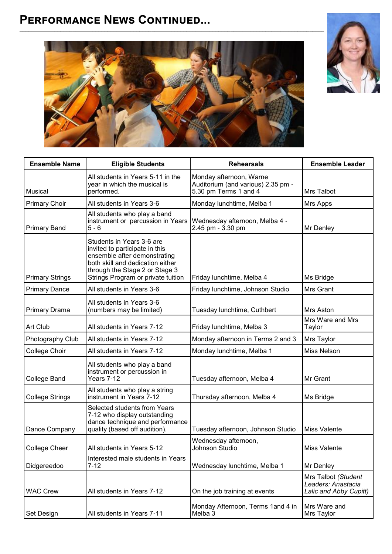# **Performance News Continued...**





| <b>Ensemble Name</b>   |                                                                                                                                                                                                         | <b>Rehearsals</b>                                                                      |                                                                     |
|------------------------|---------------------------------------------------------------------------------------------------------------------------------------------------------------------------------------------------------|----------------------------------------------------------------------------------------|---------------------------------------------------------------------|
|                        | <b>Eligible Students</b>                                                                                                                                                                                |                                                                                        | <b>Ensemble Leader</b>                                              |
| Musical                | All students in Years 5-11 in the<br>year in which the musical is<br>performed.                                                                                                                         | Monday afternoon, Warne<br>Auditorium (and various) 2.35 pm -<br>5.30 pm Terms 1 and 4 | <b>Mrs Talbot</b>                                                   |
| <b>Primary Choir</b>   | All students in Years 3-6                                                                                                                                                                               | Monday lunchtime, Melba 1                                                              | Mrs Apps                                                            |
| <b>Primary Band</b>    | All students who play a band<br>instrument or percussion in Years<br>$5 - 6$                                                                                                                            | Wednesday afternoon, Melba 4 -<br>2.45 pm - 3.30 pm                                    | Mr Denley                                                           |
| <b>Primary Strings</b> | Students in Years 3-6 are<br>invited to participate in this<br>ensemble after demonstrating<br>both skill and dedication either<br>through the Stage 2 or Stage 3<br>Strings Program or private tuition | Friday lunchtime, Melba 4                                                              | Ms Bridge                                                           |
| <b>Primary Dance</b>   | All students in Years 3-6                                                                                                                                                                               | Friday lunchtime, Johnson Studio                                                       | Mrs Grant                                                           |
| <b>Primary Drama</b>   | All students in Years 3-6<br>(numbers may be limited)                                                                                                                                                   | Tuesday lunchtime, Cuthbert                                                            | Mrs Aston                                                           |
| Art Club               | All students in Years 7-12                                                                                                                                                                              | Friday lunchtime, Melba 3                                                              | Mrs Ware and Mrs<br>Taylor                                          |
| Photography Club       | All students in Years 7-12                                                                                                                                                                              | Monday afternoon in Terms 2 and 3                                                      | Mrs Taylor                                                          |
| College Choir          | All students in Years 7-12                                                                                                                                                                              | Monday lunchtime, Melba 1                                                              | <b>Miss Nelson</b>                                                  |
| <b>College Band</b>    | All students who play a band<br>instrument or percussion in<br>Years 7-12                                                                                                                               | Tuesday afternoon, Melba 4                                                             | Mr Grant                                                            |
| <b>College Strings</b> | All students who play a string<br>instrument in Years 7-12                                                                                                                                              | Thursday afternoon, Melba 4                                                            | Ms Bridge                                                           |
| Dance Company          | Selected students from Years<br>7-12 who display outstanding<br>dance technique and performance<br>quality (based off audition).                                                                        | Tuesday afternoon, Johnson Studio                                                      | <b>Miss Valente</b>                                                 |
| College Cheer          | All students in Years 5-12                                                                                                                                                                              | Wednesday afternoon,<br>Johnson Studio                                                 | <b>Miss Valente</b>                                                 |
| Didgereedoo            | Interested male students in Years<br>$7 - 12$                                                                                                                                                           | Wednesday lunchtime, Melba 1                                                           | Mr Denley                                                           |
| <b>WAC Crew</b>        | All students in Years 7-12                                                                                                                                                                              | On the job training at events                                                          | Mrs Talbot (Student<br>Leaders: Anastacia<br>Lalic and Abby Cupitt) |
| <b>Set Design</b>      | All students in Years 7-11                                                                                                                                                                              | Monday Afternoon, Terms 1and 4 in<br>Melba 3                                           | Mrs Ware and<br>Mrs Taylor                                          |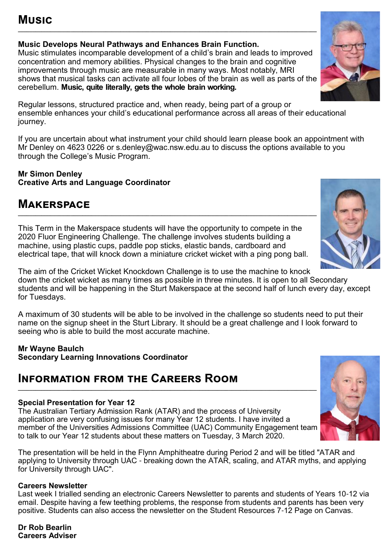### **Music Develops Neural Pathways and Enhances Brain Function.**

Music stimulates incomparable development of a child's brain and leads to improved concentration and memory abilities. Physical changes to the brain and cognitive improvements through music are measurable in many ways. Most notably, MRI shows that musical tasks can activate all four lobes of the brain as well as parts of the cerebellum. **Music, quite literally, gets the whole brain working.** 

Regular lessons, structured practice and, when ready, being part of a group or ensemble enhances your child's educational performance across all areas of their educational journey.

If you are uncertain about what instrument your child should learn please book an appointment with Mr Denley on 4623 0226 or s.denley@wac.nsw.edu.au to discuss the options available to you through the College's Music Program.

#### **Mr Simon Denley Creative Arts and Language Coordinator**

# **Makerspace**

This Term in the Makerspace students will have the opportunity to compete in the 2020 Fluor Engineering Challenge. The challenge involves students building a machine, using plastic cups, paddle pop sticks, elastic bands, cardboard and electrical tape, that will knock down a miniature cricket wicket with a ping pong ball.

**\_\_\_\_\_\_\_\_\_\_\_\_\_\_\_\_\_\_\_\_\_\_\_\_\_\_\_\_\_\_\_\_\_\_\_\_\_\_\_\_\_\_\_\_\_\_\_\_\_\_\_\_\_\_\_\_\_\_\_\_\_\_\_\_\_\_\_\_\_\_\_\_\_\_\_\_\_\_\_\_\_\_\_\_\_\_\_\_\_\_\_\_\_\_\_\_\_\_\_\_\_\_**

The aim of the Cricket Wicket Knockdown Challenge is to use the machine to knock down the cricket wicket as many times as possible in three minutes. It is open to all Secondary students and will be happening in the Sturt Makerspace at the second half of lunch every day, except for Tuesdays.

A maximum of 30 students will be able to be involved in the challenge so students need to put their name on the signup sheet in the Sturt Library. It should be a great challenge and I look forward to seeing who is able to build the most accurate machine.

#### **Mr Wayne Baulch Secondary Learning Innovations Coordinator**

# **Information from the Careers Room**

### **Special Presentation for Year 12**

The Australian Tertiary Admission Rank (ATAR) and the process of University application are very confusing issues for many Year 12 students. I have invited a member of the Universities Admissions Committee (UAC) Community Engagement team to talk to our Year 12 students about these matters on Tuesday, 3 March 2020.

**\_\_\_\_\_\_\_\_\_\_\_\_\_\_\_\_\_\_\_\_\_\_\_\_\_\_\_\_\_\_\_\_\_\_\_\_\_\_\_\_\_\_\_\_\_\_\_\_\_\_\_\_\_\_\_\_\_\_\_\_\_\_\_\_\_\_\_\_\_\_\_\_\_\_\_\_\_\_\_\_\_\_\_\_\_\_\_\_\_\_\_\_\_\_\_\_\_\_\_\_\_\_**

The presentation will be held in the Flynn Amphitheatre during Period 2 and will be titled "ATAR and applying to University through UAC - breaking down the ATAR, scaling, and ATAR myths, and applying for University through UAC".

### **Careers Newsletter**

Last week I trialled sending an electronic Careers Newsletter to parents and students of Years 10-12 via email. Despite having a few teething problems, the response from students and parents has been very positive. Students can also access the newsletter on the Student Resources 7-12 Page on Canvas. İ

**Dr Rob Bearlin Careers Adviser** 





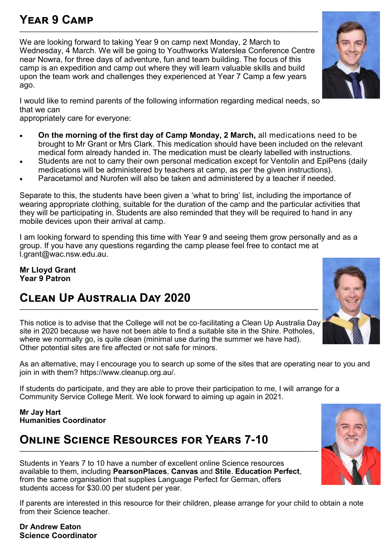# **Year 9 Camp**

We are looking forward to taking Year 9 on camp next Monday, 2 March to Wednesday, 4 March. We will be going to Youthworks Waterslea Conference Centre near Nowra, for three days of adventure, fun and team building. The focus of this camp is an expedition and camp out where they will learn valuable skills and build upon the team work and challenges they experienced at Year 7 Camp a few years ago.

**\_\_\_\_\_\_\_\_\_\_\_\_\_\_\_\_\_\_\_\_\_\_\_\_\_\_\_\_\_\_\_\_\_\_\_\_\_\_\_\_\_\_\_\_\_\_\_\_\_\_\_\_\_\_\_\_\_\_\_\_\_\_\_\_\_\_\_\_\_\_\_\_\_\_\_\_\_\_\_\_\_\_\_\_\_\_\_\_\_\_\_\_\_\_\_\_\_\_\_\_\_\_**

I would like to remind parents of the following information regarding medical needs, so that we can

appropriately care for everyone:

- **On the morning of the first day of Camp Monday, 2 March,** all medications need to be brought to Mr Grant or Mrs Clark. This medication should have been included on the relevant medical form already handed in. The medication must be clearly labelled with instructions.
- Students are not to carry their own personal medication except for Ventolin and EpiPens (daily medications will be administered by teachers at camp, as per the given instructions).
- Paracetamol and Nurofen will also be taken and administered by a teacher if needed.

Separate to this, the students have been given a 'what to bring' list, including the importance of wearing appropriate clothing, suitable for the duration of the camp and the particular activities that they will be participating in. Students are also reminded that they will be required to hand in any mobile devices upon their arrival at camp.

I am looking forward to spending this time with Year 9 and seeing them grow personally and as a group. If you have any questions regarding the camp please feel free to contact me at [l.grant@wac.nsw.edu.au.](mailto:l.grant@wac.nsw.edu.au)

**Mr Lloyd Grant Year 9 Patron**

# **Clean Up Australia Day 2020 \_\_\_\_\_\_\_\_\_\_\_\_\_\_\_\_\_\_\_\_\_\_\_\_\_\_\_\_\_\_\_\_\_\_\_\_\_\_\_\_\_\_\_\_\_\_\_\_\_\_\_\_\_\_\_\_\_\_\_\_\_\_\_\_\_\_\_\_\_\_\_\_\_\_\_\_\_\_\_\_\_\_\_\_\_\_\_\_\_\_\_\_\_\_\_\_\_\_\_\_\_\_**

This notice is to advise that the College will not be co-facilitating a Clean Up Australia Day site in 2020 because we have not been able to find a suitable site in the Shire. Potholes, where we normally go, is quite clean (minimal use during the summer we have had). Other potential sites are fire affected or not safe for minors.

As an alternative, may I encourage you to search up some of the sites that are operating near to you and join in with them? [https://www.cleanup.org.au/.](https://www.cleanup.org.au/)

If students do participate, and they are able to prove their participation to me, I will arrange for a Community Service College Merit. We look forward to aiming up again in 2021.

**Mr Jay Hart Humanities Coordinator** 

### **Online Science Resources for Years 7-10 \_\_\_\_\_\_\_\_\_\_\_\_\_\_\_\_\_\_\_\_\_\_\_\_\_\_\_\_\_\_\_\_\_\_\_\_\_\_\_\_\_\_\_\_\_\_\_\_\_\_\_\_\_\_\_\_\_\_\_\_\_\_\_\_\_\_\_\_\_\_\_\_\_\_\_\_\_\_\_\_\_\_\_\_\_\_\_\_\_\_\_\_\_\_\_\_\_\_\_\_\_\_**

Students in Years 7 to 10 have a number of excellent online Science resources available to them, including **PearsonPlaces**, **Canvas** and **Stile**. **Education Perfect**, from the same organisation that supplies Language Perfect for German, offers students access for \$30.00 per student per year.

If parents are interested in this resource for their children, please arrange for your child to obtain a note from their Science teacher.

**Dr Andrew Eaton Science Coordinator** 





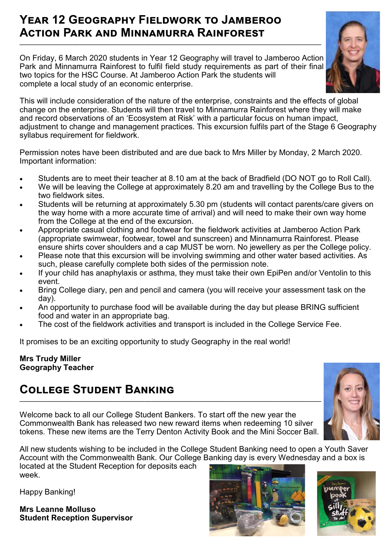# **Year 12 Geography Fieldwork to Jamberoo Action Park and Minnamurra Rainforest**

On Friday, 6 March 2020 students in Year 12 Geography will travel to Jamberoo Action Park and Minnamurra Rainforest to fulfil field study requirements as part of their final two topics for the HSC Course. At Jamberoo Action Park the students will complete a local study of an economic enterprise.

**\_\_\_\_\_\_\_\_\_\_\_\_\_\_\_\_\_\_\_\_\_\_\_\_\_\_\_\_\_\_\_\_\_\_\_\_\_\_\_\_\_\_\_\_\_\_\_\_\_\_\_\_\_\_\_\_\_\_\_\_\_\_\_\_\_\_\_\_\_\_\_\_\_\_\_\_\_\_\_\_\_\_\_\_\_\_\_\_\_\_\_\_\_\_\_\_\_\_\_\_\_\_\_**



This will include consideration of the nature of the enterprise, constraints and the effects of global change on the enterprise. Students will then travel to Minnamurra Rainforest where they will make and record observations of an 'Ecosystem at Risk' with a particular focus on human impact, adjustment to change and management practices. This excursion fulfils part of the Stage 6 Geography syllabus requirement for fieldwork.

Permission notes have been distributed and are due back to Mrs Miller by Monday, 2 March 2020. Important information:

- Students are to meet their teacher at 8.10 am at the back of Bradfield (DO NOT go to Roll Call).
- We will be leaving the College at approximately 8.20 am and travelling by the College Bus to the two fieldwork sites.
- Students will be returning at approximately 5.30 pm (students will contact parents/care givers on the way home with a more accurate time of arrival) and will need to make their own way home from the College at the end of the excursion.
- Appropriate casual clothing and footwear for the fieldwork activities at Jamberoo Action Park (appropriate swimwear, footwear, towel and sunscreen) and Minnamurra Rainforest. Please ensure shirts cover shoulders and a cap MUST be worn. No jewellery as per the College policy.
- Please note that this excursion will be involving swimming and other water based activities. As such, please carefully complete both sides of the permission note.
- If your child has anaphylaxis or asthma, they must take their own EpiPen and/or Ventolin to this event.
- Bring College diary, pen and pencil and camera (you will receive your assessment task on the day).
- An opportunity to purchase food will be available during the day but please BRING sufficient food and water in an appropriate bag.
- The cost of the fieldwork activities and transport is included in the College Service Fee.

It promises to be an exciting opportunity to study Geography in the real world!

#### **Mrs Trudy Miller Geography Teacher**

### **College Student Banking \_\_\_\_\_\_\_\_\_\_\_\_\_\_\_\_\_\_\_\_\_\_\_\_\_\_\_\_\_\_\_\_\_\_\_\_\_\_\_\_\_\_\_\_\_\_\_\_\_\_\_\_\_\_\_\_\_\_\_\_\_\_\_\_\_\_\_\_\_\_\_\_\_\_\_\_\_\_\_\_\_\_\_\_\_\_\_\_\_\_\_\_\_\_\_\_\_\_\_\_\_\_\_**

Welcome back to all our College Student Bankers. To start off the new year the Commonwealth Bank has released two new reward items when redeeming 10 silver tokens. These new items are the Terry Denton Activity Book and the Mini Soccer Ball.



All new students wishing to be included in the College Student Banking need to open a Youth Saver Account with the Commonwealth Bank. Our College Banking day is every Wednesday and a box is located at the Student Reception for deposits each

week.

Happy Banking!

**Mrs Leanne Molluso Student Reception Supervisor** 



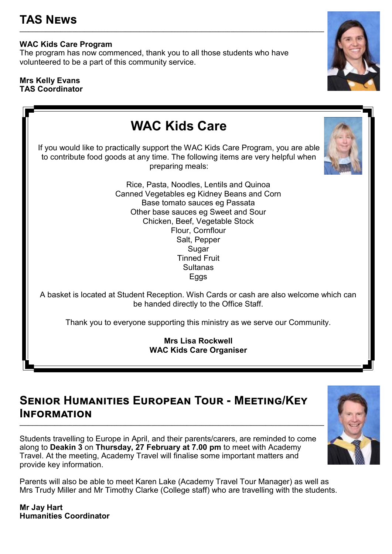# **WAC Kids Care Program**

The program has now commenced, thank you to all those students who have volunteered to be a part of this community service.

**\_\_\_\_\_\_\_\_\_\_\_\_\_\_\_\_\_\_\_\_\_\_\_\_\_\_\_\_\_\_\_\_\_\_\_\_\_\_\_\_\_\_\_\_\_\_\_\_\_\_\_\_\_\_\_\_\_\_\_\_\_\_\_\_\_\_\_\_\_\_\_\_\_\_\_\_\_\_\_\_\_\_\_\_\_\_\_\_\_\_\_\_\_\_\_\_\_\_\_\_\_\_\_\_**

#### **Mrs Kelly Evans TAS Coordinator**



# **Senior Humanities European Tour - Meeting/Key Information**

Students travelling to Europe in April, and their parents/carers, are reminded to come along to **Deakin 3** on **Thursday, 27 February at 7.00 pm** to meet with Academy Travel. At the meeting, Academy Travel will finalise some important matters and provide key information.

**\_\_\_\_\_\_\_\_\_\_\_\_\_\_\_\_\_\_\_\_\_\_\_\_\_\_\_\_\_\_\_\_\_\_\_\_\_\_\_\_\_\_\_\_\_\_\_\_\_\_\_\_\_\_\_\_\_\_\_\_\_\_\_\_\_\_\_\_\_\_\_\_\_\_\_\_\_\_\_\_\_\_\_\_\_\_\_\_\_\_\_\_\_\_\_\_\_\_\_\_\_\_\_\_**

Parents will also be able to meet Karen Lake (Academy Travel Tour Manager) as well as Mrs Trudy Miller and Mr Timothy Clarke (College staff) who are travelling with the students.

**Mr Jay Hart Humanities Coordinator** 

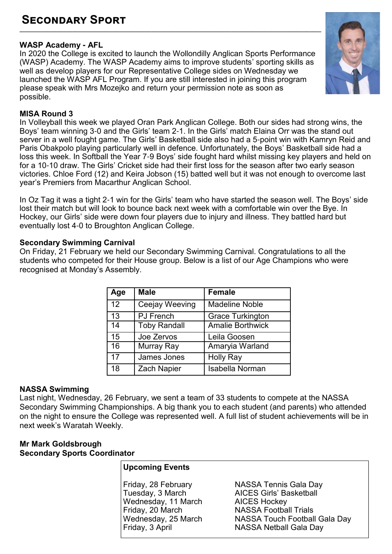### **WASP Academy - AFL**

In 2020 the College is excited to launch the Wollondilly Anglican Sports Performance (WASP) Academy. The WASP Academy aims to improve students' sporting skills as well as develop players for our Representative College sides on Wednesday we launched the WASP AFL Program. If you are still interested in joining this program please speak with Mrs Mozejko and return your permission note as soon as possible.



#### **MISA Round 3**

In Volleyball this week we played Oran Park Anglican College. Both our sides had strong wins, the Boys' team winning 3-0 and the Girls' team 2-1. In the Girls' match Elaina Orr was the stand out server in a well fought game. The Girls' Basketball side also had a 5-point win with Kamryn Reid and Paris Obakpolo playing particularly well in defence. Unfortunately, the Boys' Basketball side had a loss this week. In Softball the Year 7-9 Boys' side fought hard whilst missing key players and held on for a 10-10 draw. The Girls' Cricket side had their first loss for the season after two early season victories. Chloe Ford (12) and Keira Jobson (15) batted well but it was not enough to overcome last year's Premiers from Macarthur Anglican School.

In Oz Tag it was a tight 2-1 win for the Girls' team who have started the season well. The Boys' side lost their match but will look to bounce back next week with a comfortable win over the Bye. In Hockey, our Girls' side were down four players due to injury and illness. They battled hard but eventually lost 4-0 to Broughton Anglican College.

#### **Secondary Swimming Carnival**

On Friday, 21 February we held our Secondary Swimming Carnival. Congratulations to all the students who competed for their House group. Below is a list of our Age Champions who were recognised at Monday's Assembly.

| Age | <b>Male</b>         | <b>Female</b>           |
|-----|---------------------|-------------------------|
| 12  | Ceejay Weeving      | <b>Madeline Noble</b>   |
| 13  | <b>PJ</b> French    | <b>Grace Turkington</b> |
| 14  | <b>Toby Randall</b> | <b>Amalie Borthwick</b> |
| 15  | Joe Zervos          | Leila Goosen            |
| 16  | Murray Ray          | Amaryia Warland         |
| 17  | James Jones         | <b>Holly Ray</b>        |
| 18  | <b>Zach Napier</b>  | <b>Isabella Norman</b>  |

### **NASSA Swimming**

Last night, Wednesday, 26 February, we sent a team of 33 students to compete at the NASSA Secondary Swimming Championships. A big thank you to each student (and parents) who attended on the night to ensure the College was represented well. A full list of student achievements will be in next week's Waratah Weekly.

#### **Mr Mark Goldsbrough Secondary Sports Coordinator**

### **Upcoming Events**

Wednesday, 11 March<br>Friday, 20 March Friday, 20 March **NASSA Football Trials**<br>
Wednesday, 25 March **NASSA Touch Football** 

Friday, 28 February NASSA Tennis Gala Day AICES Girls' Basketball<br>AICES Hockey Wednesday, 25 March NASSA Touch Football Gala Day<br>Friday, 3 April NASSA Netball Gala Day NASSA Netball Gala Day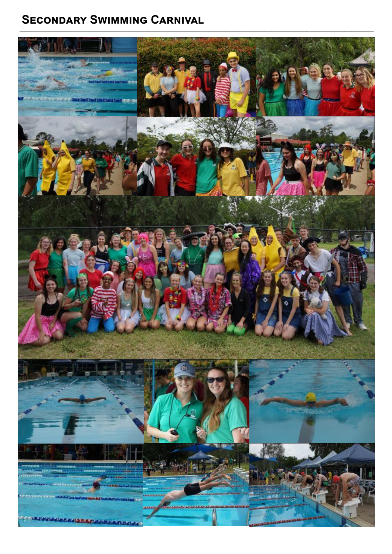# **SECONDARY SWIMMING CARNIVAL**

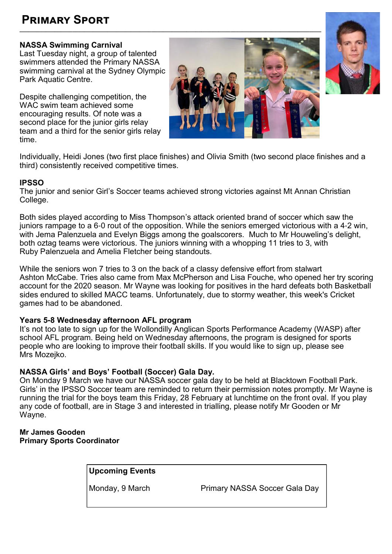# **Primary Sport**

### **NASSA Swimming Carnival**

Last Tuesday night, a group of talented swimmers attended the Primary NASSA swimming carnival at the Sydney Olympic Park Aquatic Centre.

Despite challenging competition, the WAC swim team achieved some encouraging results. Of note was a second place for the junior girls relay team and a third for the senior girls relay time.





Individually, Heidi Jones (two first place finishes) and Olivia Smith (two second place finishes and a third) consistently received competitive times.

#### **IPSSO**

The junior and senior Girl's Soccer teams achieved strong victories against Mt Annan Christian College.

Both sides played according to Miss Thompson's attack oriented brand of soccer which saw the juniors rampage to a 6-0 rout of the opposition. While the seniors emerged victorious with a 4-2 win, with Jema Palenzuela and Evelyn Biggs among the goalscorers. Much to Mr Houweling's delight, both oztag teams were victorious. The juniors winning with a whopping 11 tries to 3, with Ruby Palenzuela and Amelia Fletcher being standouts.

While the seniors won 7 tries to 3 on the back of a classy defensive effort from stalwart Ashton McCabe. Tries also came from Max McPherson and Lisa Fouche, who opened her try scoring account for the 2020 season. Mr Wayne was looking for positives in the hard defeats both Basketball sides endured to skilled MACC teams. Unfortunately, due to stormy weather, this week's Cricket games had to be abandoned.

#### **Years 5-8 Wednesday afternoon AFL program**

It's not too late to sign up for the Wollondilly Anglican Sports Performance Academy (WASP) after school AFL program. Being held on Wednesday afternoons, the program is designed for sports people who are looking to improve their football skills. If you would like to sign up, please see Mrs Mozejko.

### **NASSA Girls' and Boys' Football (Soccer) Gala Day.**

On Monday 9 March we have our NASSA soccer gala day to be held at Blacktown Football Park. Girls' in the IPSSO Soccer team are reminded to return their permission notes promptly. Mr Wayne is running the trial for the boys team this Friday, 28 February at lunchtime on the front oval. If you play any code of football, are in Stage 3 and interested in trialling, please notify Mr Gooden or Mr Wayne.

#### **Mr James Gooden Primary Sports Coordinator**

**Upcoming Events**

Monday, 9 March **Primary NASSA Soccer Gala Day**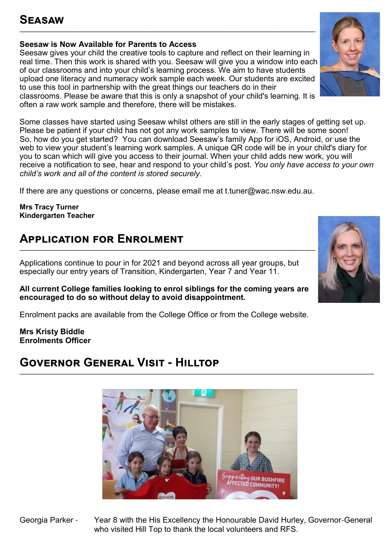# **Seasaw**

### **Seesaw is Now Available for Parents to Access**

Seesaw gives your child the creative tools to capture and reflect on their learning in real time. Then this work is shared with you. Seesaw will give you a window into each of our classrooms and into your child's learning process. We aim to have students upload one literacy and numeracy work sample each week. Our students are excited to use this tool in partnership with the great things our teachers do in their classrooms. Please be aware that this is only a snapshot of your child's learning. It is often a raw work sample and therefore, there will be mistakes.

**\_\_\_\_\_\_\_\_\_\_\_\_\_\_\_\_\_\_\_\_\_\_\_\_\_\_\_\_\_\_\_\_\_\_\_\_\_\_\_\_\_\_\_\_\_\_\_\_\_\_\_\_\_\_\_\_\_\_\_\_\_\_\_\_\_\_\_\_\_\_\_\_\_\_\_\_\_\_\_\_\_\_\_\_\_\_\_\_\_\_\_\_\_\_\_\_\_\_\_\_\_**

Some classes have started using Seesaw whilst others are still in the early stages of getting set up. Please be patient if your child has not got any work samples to view. There will be some soon! So, how do you get started? You can download Seesaw's family App for iOS, Android, or use the web to view your student's learning work samples. A unique QR code will be in your child's diary for you to scan which will give you access to their journal. When your child adds new work, you will receive a notification to see, hear and respond to your child's post. *You only have access to your own child's work and all of the content is stored securely.* 

If there are any questions or concerns, please email me at t.tuner@wac.nsw.edu.au.

**Mrs Tracy Turner Kindergarten Teacher** 

# **Application for Enrolment**

Applications continue to pour in for 2021 and beyond across all year groups, but especially our entry years of Transition, Kindergarten, Year 7 and Year 11.

#### **All current College families looking to enrol siblings for the coming years are encouraged to do so without delay to avoid disappointment.**

Enrolment packs are available from the College Office or from the College website.

**Mrs Kristy Biddle Enrolments Officer**

# **Governor General Visit - Hilltop**





**BUSHFIRE** 



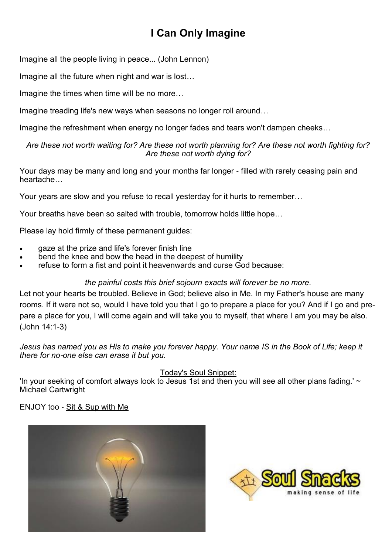# **I Can Only Imagine**

Imagine all the people living in peace... (John Lennon)

Imagine all the future when night and war is lost…

Imagine the times when time will be no more…

Imagine treading life's new ways when seasons no longer roll around…

Imagine the refreshment when energy no longer fades and tears won't dampen cheeks…

#### *Are these not worth waiting for? Are these not worth planning for? Are these not worth fighting for? Are these not worth dying for?*

Your days may be many and long and your months far longer - filled with rarely ceasing pain and heartache…

Your years are slow and you refuse to recall yesterday for it hurts to remember…

Your breaths have been so salted with trouble, tomorrow holds little hope…

Please lay hold firmly of these permanent guides:

- gaze at the prize and life's forever finish line
- bend the knee and bow the head in the deepest of humility
- refuse to form a fist and point it heavenwards and curse God because:

### *the painful costs this brief sojourn exacts will forever be no more.*

Let not your hearts be troubled. Believe in God; believe also in Me. In my Father's house are many rooms. If it were not so, would I have told you that I go to prepare a place for you? And if I go and prepare a place for you, I will come again and will take you to myself, that where I am you may be also. (John 14:1-3)

*Jesus has named you as His to make you forever happy. Your name IS in the Book of Life; keep it there for no-one else can erase it but you.*

Today's Soul Snippet:

'In your seeking of comfort always look to Jesus 1st and then you will see all other plans fading.'  $\sim$ Michael Cartwright

ENJOY too - [Sit & Sup with Me](https://soulsupply.us12.list-manage.com/track/click?u=9c42ae84e8999efca37b252ef&id=2a237148de&e=33b84a6371) 



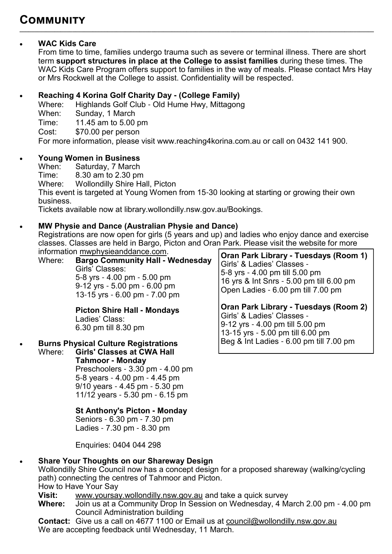# **WAC Kids Care**

From time to time, families undergo trauma such as severe or terminal illness. There are short term **support structures in place at the College to assist families** during these times. The WAC Kids Care Program offers support to families in the way of meals. Please contact Mrs Hay or Mrs Rockwell at the College to assist. Confidentiality will be respected.

**\_\_\_\_\_\_\_\_\_\_\_\_\_\_\_\_\_\_\_\_\_\_\_\_\_\_\_\_\_\_\_\_\_\_\_\_\_\_\_\_\_\_\_\_\_\_\_\_\_\_\_\_\_\_\_\_\_\_\_\_\_\_\_\_\_\_\_\_\_\_\_\_\_\_\_\_\_\_\_\_\_\_\_\_\_\_\_\_\_\_\_\_\_\_\_\_\_\_\_\_\_\_\_\_\_\_\_\_\_\_\_\_\_\_\_\_\_\_\_\_\_**

# **Reaching 4 Korina Golf Charity Day - (College Family)**

Where: Highlands Golf Club - Old Hume Hwy, Mittagong

When: Sunday, 1 March

Time: 11.45 am to 5.00 pm

Cost: \$70.00 per person

For more information, please visit www.reaching4korina.com.au or call on 0432 141 900.

# **Young Women in Business**

Saturday, 7 March

Time: 8.30 am to 2.30 pm<br>Where: Wollondilly Shire Ha

Wollondilly Shire Hall, Picton

This event is targeted at Young Women from 15-30 looking at starting or growing their own business.

Tickets available now at library.wollondilly.nsw.gov.au/Bookings.

# **MW Physie and Dance (Australian Physie and Dance)**

Registrations are now open for girls (5 years and up) and ladies who enjoy dance and exercise classes. Classes are held in Bargo, Picton and Oran Park. Please visit the website for more information [mwphysieanddance.com.](http://mwphysieanddance.com/)

Where: **Bargo Community Hall - Wednesday** Girls' Classes: 5-8 yrs - 4.00 pm - 5.00 pm 9-12 yrs - 5.00 pm - 6.00 pm 13-15 yrs - 6.00 pm - 7.00 pm

> **Picton Shire Hall - Mondays** Ladies' Class: 6.30 pm till 8.30 pm

# **Burns Physical Culture Registrations**

Where: **Girls' Classes at CWA Hall Tahmoor - Monday** Preschoolers - 3.30 pm - 4.00 pm 5-8 years - 4.00 pm - 4.45 pm 9/10 years - 4.45 pm - 5.30 pm 11/12 years - 5.30 pm - 6.15 pm

### **St Anthony's Picton - Monday**

 Seniors - 6.30 pm - 7.30 pm Ladies - 7.30 pm - 8.30 pm

Enquiries: 0404 044 298

# **Share Your Thoughts on our Shareway Design**

Wollondilly Shire Council now has a concept design for a proposed shareway (walking/cycling path) connecting the centres of Tahmoor and Picton.

How to Have Your Say

**Visit:** [www.yoursay.wollondilly.nsw.gov.au](http://www.yoursay.wollondilly.nsw.gov.au/) and take a quick survey

**Where:** Join us at a Community Drop In Session on Wednesday, 4 March 2.00 pm - 4.00 pm Council Administration building

**Contact:** Give us a call on 4677 1100 or Email us at [council@wollondilly.nsw.gov.au](mailto:council@wollondilly.nsw.gov.au) We are accepting feedback until Wednesday, 11 March.

**Oran Park Library - Tuesdays (Room 1)** Girls' & Ladies' Classes - 5-8 yrs - 4.00 pm till 5.00 pm 16 yrs & Int Snrs - 5.00 pm till 6.00 pm Open Ladies - 6.00 pm till 7.00 pm

**Oran Park Library - Tuesdays (Room 2)** Girls' & Ladies' Classes - 9-12 yrs - 4.00 pm till 5.00 pm 13-15 yrs - 5.00 pm till 6.00 pm Beg & Int Ladies - 6.00 pm till 7.00 pm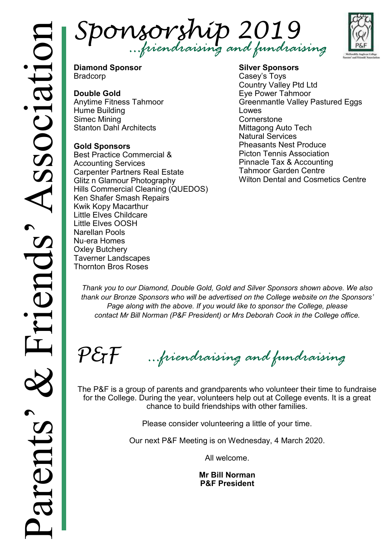



**Diamond Sponsor** Bradcorp

# **Double Gold**

Anytime Fitness Tahmoor Hume Building Simec Mining Stanton Dahl Architects

### **Gold Sponsors**

Best Practice Commercial & Accounting Services Carpenter Partners Real Estate Glitz n Glamour Photography Hills Commercial Cleaning (QUEDOS) Ken Shafer Smash Repairs Kwik Kopy Macarthur Little Elves Childcare Little Elves OOSH Narellan Pools Nu-era Homes Oxley Butchery Taverner Landscapes Thornton Bros Roses

#### **Silver Sponsors** Casey's Toys Country Valley Ptd Ltd Eye Power Tahmoor Greenmantle Valley Pastured Eggs Lowes **Cornerstone** Mittagong Auto Tech Natural Services Pheasants Nest Produce Picton Tennis Association Pinnacle Tax & Accounting Tahmoor Garden Centre Wilton Dental and Cosmetics Centre

*Thank you to our Diamond, Double Gold, Gold and Silver Sponsors shown above. We also thank our Bronze Sponsors who will be advertised on the College website on the Sponsors'*  Page along with the above. If you would like to sponsor the College, please *contact Mr Bill Norman (P&F President) or Mrs Deborah Cook in the College office.*

 $P \mathcal{E}$ F *…friendraising and fundraising*

The P&F is a group of parents and grandparents who volunteer their time to fundraise for the College. During the year, volunteers help out at College events. It is a great chance to build friendships with other families.

Please consider volunteering a little of your time.

Our next P&F Meeting is on Wednesday, 4 March 2020.

All welcome.

**Mr Bill Norman P&F President**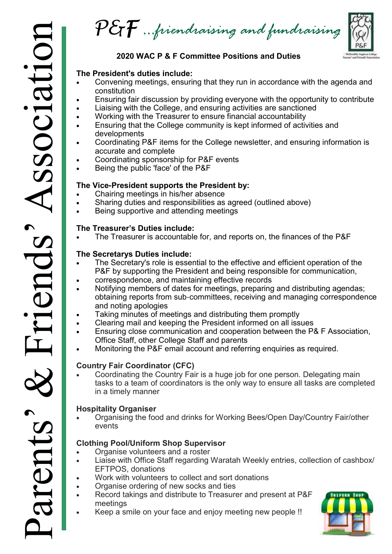$\mathcal{P}\mathcal{E}\mathcal{F}$  …friendraising and fundraising

# **2020 WAC P & F Committee Positions and Duties**

# **The President's duties include:**

- Convening meetings, ensuring that they run in accordance with the agenda and constitution
- Ensuring fair discussion by providing everyone with the opportunity to contribute
- Liaising with the College, and ensuring activities are sanctioned
- Working with the Treasurer to ensure financial accountability
- Ensuring that the College community is kept informed of activities and developments
- Coordinating P&F items for the College newsletter, and ensuring information is accurate and complete
- Coordinating sponsorship for P&F events
- Being the public 'face' of the P&F

### **The Vice-President supports the President by:**

- Chairing meetings in his/her absence
- Sharing duties and responsibilities as agreed (outlined above)
- Being supportive and attending meetings

### **The Treasurer's Duties include:**

The Treasurer is accountable for, and reports on, the finances of the P&F

### **The Secretarys Duties include:**

- The Secretary's role is essential to the effective and efficient operation of the P&F by supporting the President and being responsible for communication,
- correspondence, and maintaining effective records
- Notifying members of dates for meetings, preparing and distributing agendas; obtaining reports from sub-committees, receiving and managing correspondence and noting apologies
- Taking minutes of meetings and distributing them promptly
- Clearing mail and keeping the President informed on all issues
- Ensuring close communication and cooperation between the P& F Association, Office Staff, other College Staff and parents
- Monitoring the P&F email account and referring enquiries as required.

# **Country Fair Coordinator (CFC)**

 Coordinating the Country Fair is a huge job for one person. Delegating main tasks to a team of coordinators is the only way to ensure all tasks are completed in a timely manner

# **Hospitality Organiser**

 Organising the food and drinks for Working Bees/Open Day/Country Fair/other events

# **Clothing Pool/Uniform Shop Supervisor**

- Organise volunteers and a roster
- Liaise with Office Staff regarding Waratah Weekly entries, collection of cashbox/ EFTPOS, donations
- Work with volunteers to collect and sort donations
- Organise ordering of new socks and ties
- Record takings and distribute to Treasurer and present at P&F meetings
- Keep a smile on your face and enjoy meeting new people !!

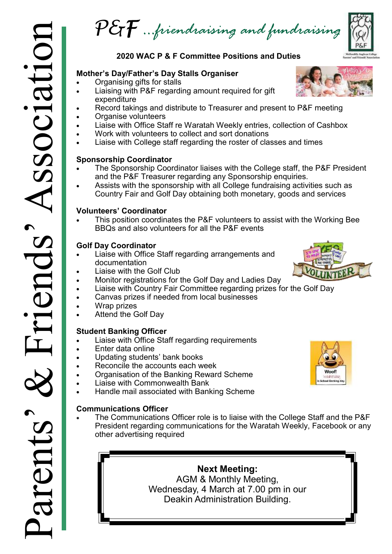P&F *…friendraising and fundraising*

# **2020 WAC P & F Committee Positions and Duties**

### **Mother's Day/Father's Day Stalls Organiser**

- Organising gifts for stalls
- Liaising with P&F regarding amount required for gift expenditure
- Record takings and distribute to Treasurer and present to P&F meeting
- Organise volunteers
- Liaise with Office Staff re Waratah Weekly entries, collection of Cashbox
- Work with volunteers to collect and sort donations
- Liaise with College staff regarding the roster of classes and times

#### **Sponsorship Coordinator**

- The Sponsorship Coordinator liaises with the College staff, the P&F President and the P&F Treasurer regarding any Sponsorship enquiries.
- Assists with the sponsorship with all College fundraising activities such as Country Fair and Golf Day obtaining both monetary, goods and services

### **Volunteers' Coordinator**

 This position coordinates the P&F volunteers to assist with the Working Bee BBQs and also volunteers for all the P&F events

### **Golf Day Coordinator**

- Liaise with Office Staff regarding arrangements and documentation
- Liaise with the Golf Club
- Monitor registrations for the Golf Day and Ladies Day
- Liaise with Country Fair Committee regarding prizes for the Golf Day
- Canvas prizes if needed from local businesses
- Wrap prizes
- Attend the Golf Day

# **Student Banking Officer**

- Liaise with Office Staff regarding requirements
- Enter data online
- Updating students' bank books
- Reconcile the accounts each week
- Organisation of the Banking Reward Scheme
- Liaise with Commonwealth Bank
- Handle mail associated with Banking Scheme

# **Communications Officer**

 The Communications Officer role is to liaise with the College Staff and the P&F President regarding communications for the Waratah Weekly, Facebook or any other advertising required

> **Next Meeting:**  AGM & Monthly Meeting, Wednesday, 4 March at 7.00 pm in our Deakin Administration Building.





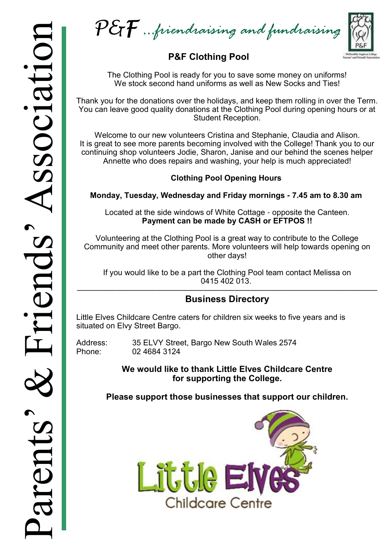$\mathcal{P}\mathcal{E}\mathcal{T}$  …friendraising and fundraising

# **P&F Clothing Pool**

The Clothing Pool is ready for you to save some money on uniforms! We stock second hand uniforms as well as New Socks and Ties!

Thank you for the donations over the holidays, and keep them rolling in over the Term. You can leave good quality donations at the Clothing Pool during opening hours or at Student Reception.

Welcome to our new volunteers Cristina and Stephanie, Claudia and Alison. It is great to see more parents becoming involved with the College! Thank you to our continuing shop volunteers Jodie, Sharon, Janise and our behind the scenes helper Annette who does repairs and washing, your help is much appreciated!

# **Clothing Pool Opening Hours**

**Monday, Tuesday, Wednesday and Friday mornings - 7.45 am to 8.30 am** 

Located at the side windows of White Cottage - opposite the Canteen. **Payment can be made by CASH or EFTPOS !!**

Volunteering at the Clothing Pool is a great way to contribute to the College Community and meet other parents. More volunteers will help towards opening on other days!

If you would like to be a part the Clothing Pool team contact Melissa on 0415 402 013.

#### —————————————————————————————————————— **Business Directory**

Little Elves Childcare Centre caters for children six weeks to five years and is situated on Elvy Street Bargo.

Address: [35 ELVY Street, Bargo New South Wales 2574](https://www.bing.com/local?lid=YN3724x523714152&id=YN3724x523714152&q=Little+Elves+Childcare+Centre&name=Little+Elves+Childcare+Centre&cp=-34.28096008300781%7e150.56976318359375&ppois=-34.28096008300781_150.56976318359375_Little+Elves+Childcare+Centre&FORM=SN)<br>Phone: 02 4684 3124 02 4684 3124

> **We would like to thank Little Elves Childcare Centre for supporting the College.**

**Please support those businesses that support our children.**

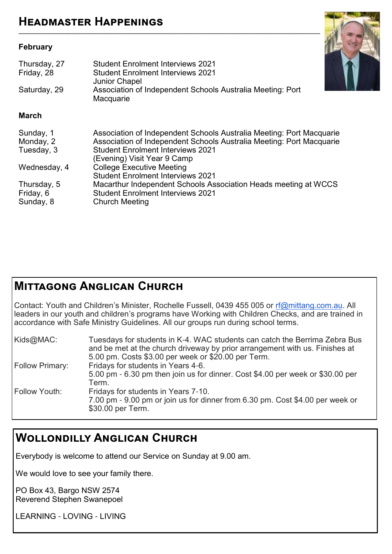#### **February**

| Thursday, 27<br>Friday, 28<br>Saturday, 29 | <b>Student Enrolment Interviews 2021</b><br><b>Student Enrolment Interviews 2021</b><br><b>Junior Chapel</b><br>Association of Independent Schools Australia Meeting: Port<br>Macquarie                                 |
|--------------------------------------------|-------------------------------------------------------------------------------------------------------------------------------------------------------------------------------------------------------------------------|
| <b>March</b>                               |                                                                                                                                                                                                                         |
| Sunday, 1<br>Monday, 2<br>Tuesday, 3       | Association of Independent Schools Australia Meeting: Port Macquarie<br>Association of Independent Schools Australia Meeting: Port Macquarie<br><b>Student Enrolment Interviews 2021</b><br>(Evening) Visit Year 9 Camp |
| Wednesday, 4                               | <b>College Executive Meeting</b><br><b>Student Enrolment Interviews 2021</b>                                                                                                                                            |
| Thursday, 5<br>Friday, 6<br>Sunday, 8      | Macarthur Independent Schools Association Heads meeting at WCCS<br><b>Student Enrolment Interviews 2021</b><br><b>Church Meeting</b>                                                                                    |

**\_\_\_\_\_\_\_\_\_\_\_\_\_\_\_\_\_\_\_\_\_\_\_\_\_\_\_\_\_\_\_\_\_\_\_\_\_\_\_\_\_\_\_\_\_\_\_\_\_\_\_\_\_\_\_\_\_\_\_\_\_\_\_\_\_\_\_\_\_\_\_\_\_\_\_\_\_\_\_\_\_\_\_\_\_\_\_\_\_\_\_\_\_\_\_\_\_\_\_\_\_\_\_**

# **Mittagong Anglican Church**

Contact: Youth and Children's Minister, Rochelle Fussell, 0439 455 005 or [rf@mittang.com.au.](mailto:rf@mittang.com.au) All leaders in our youth and children's programs have Working with Children Checks, and are trained in accordance with Safe Ministry Guidelines. All our groups run during school terms.

| Kids@MAC:              | Tuesdays for students in K-4. WAC students can catch the Berrima Zebra Bus<br>and be met at the church driveway by prior arrangement with us. Finishes at<br>5.00 pm. Costs \$3.00 per week or \$20.00 per Term. |
|------------------------|------------------------------------------------------------------------------------------------------------------------------------------------------------------------------------------------------------------|
| <b>Follow Primary:</b> | Fridays for students in Years 4-6.<br>5.00 pm - 6.30 pm then join us for dinner. Cost \$4.00 per week or \$30.00 per<br>Term.                                                                                    |
| Follow Youth:          | Fridays for students in Years 7-10.<br>7.00 pm - 9.00 pm or join us for dinner from 6.30 pm. Cost \$4.00 per week or<br>\$30.00 per Term.                                                                        |

# **Wollondilly Anglican Church**

Everybody is welcome to attend our Service on Sunday at 9.00 am.

We would love to see your family there.

PO Box 43, Bargo NSW 2574 Reverend Stephen Swanepoel

LEARNING - LOVING - LIVING